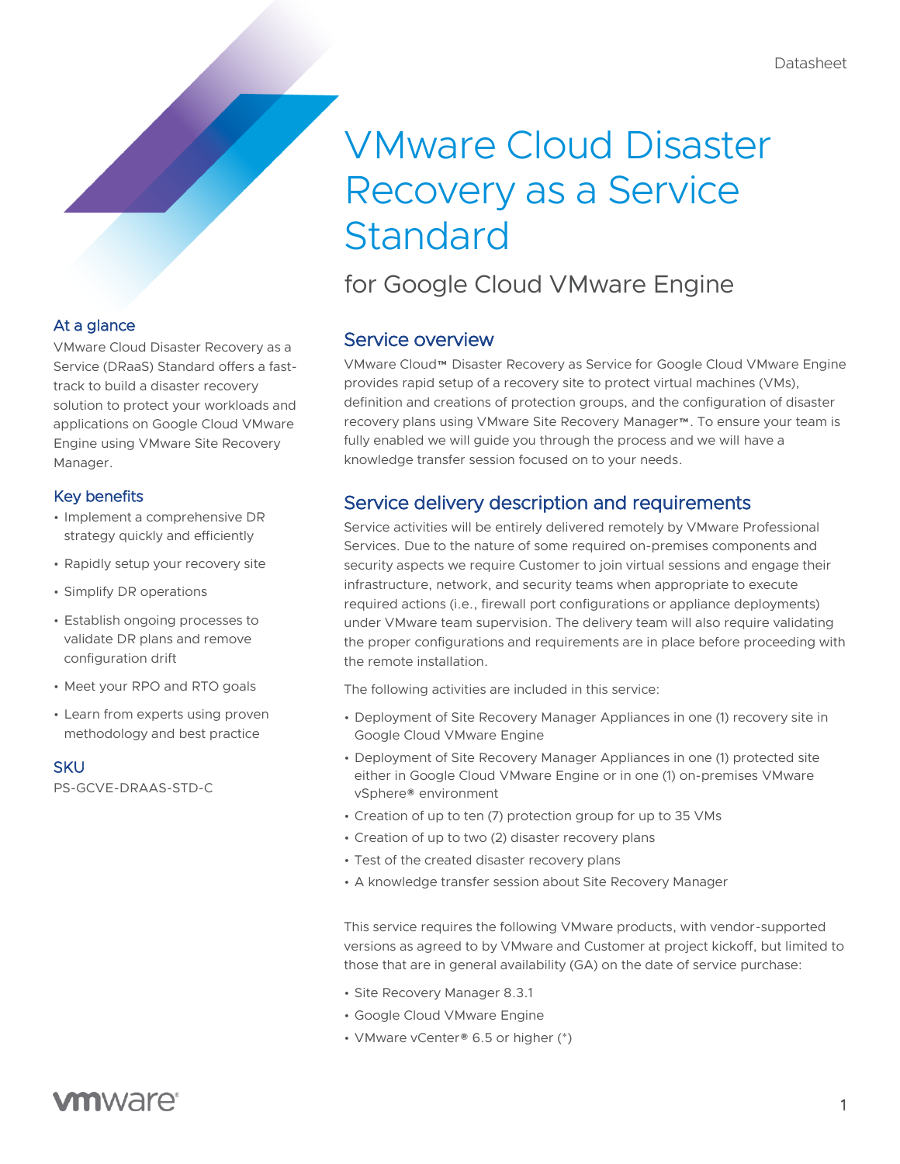# VMware Cloud Disaster Recovery as a Service **Standard**

for Google Cloud VMware Engine

## Service overview

VMware Cloud™ Disaster Recovery as Service for Google Cloud VMware Engine provides rapid setup of a recovery site to protect virtual machines (VMs), definition and creations of protection groups, and the configuration of disaster recovery plans using VMware Site Recovery Manager™. To ensure your team is fully enabled we will guide you through the process and we will have a knowledge transfer session focused on to your needs.

## Service delivery description and requirements

Service activities will be entirely delivered remotely by VMware Professional Services. Due to the nature of some required on-premises components and security aspects we require Customer to join virtual sessions and engage their infrastructure, network, and security teams when appropriate to execute required actions (i.e., firewall port configurations or appliance deployments) under VMware team supervision. The delivery team will also require validating the proper configurations and requirements are in place before proceeding with the remote installation.

The following activities are included in this service:

- Deployment of Site Recovery Manager Appliances in one (1) recovery site in Google Cloud VMware Engine
- Deployment of Site Recovery Manager Appliances in one (1) protected site either in Google Cloud VMware Engine or in one (1) on-premises VMware vSphere® environment
- Creation of up to ten (7) protection group for up to 35 VMs
- Creation of up to two (2) disaster recovery plans
- Test of the created disaster recovery plans
- A knowledge transfer session about Site Recovery Manager

This service requires the following VMware products, with vendor-supported versions as agreed to by VMware and Customer at project kickoff, but limited to those that are in general availability (GA) on the date of service purchase:

- Site Recovery Manager 8.3.1
- Google Cloud VMware Engine
- VMware vCenter® 6.5 or higher (\*)

## At a glance

VMware Cloud Disaster Recovery as a Service (DRaaS) Standard offers a fasttrack to build a disaster recovery solution to protect your workloads and applications on Google Cloud VMware Engine using VMware Site Recovery Manager.

## Key benefits

- Implement a comprehensive DR strategy quickly and efficiently
- Rapidly setup your recovery site
- Simplify DR operations
- Establish ongoing processes to validate DR plans and remove configuration drift
- Meet your RPO and RTO goals
- Learn from experts using proven methodology and best practice

**SKU** 

PS-GCVE-DRAAS-STD-C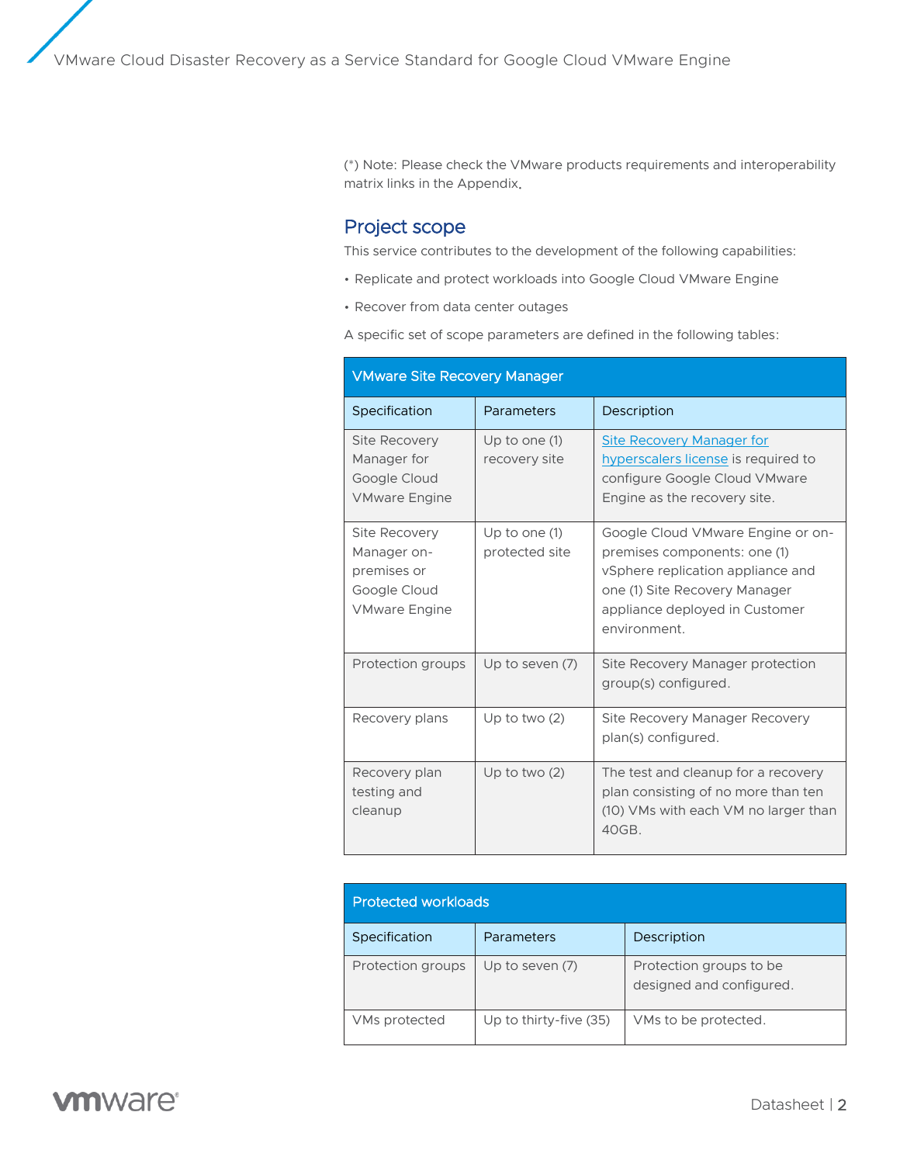(\*) Note: Please check the VMware products requirements and interoperability matrix links in the Appendix.

## Project scope

This service contributes to the development of the following capabilities:

- Replicate and protect workloads into Google Cloud VMware Engine
- Recover from data center outages

A specific set of scope parameters are defined in the following tables:

| <b>VMware Site Recovery Manager</b>                                                        |                                   |                                                                                                                                                                                           |  |
|--------------------------------------------------------------------------------------------|-----------------------------------|-------------------------------------------------------------------------------------------------------------------------------------------------------------------------------------------|--|
| Specification                                                                              | Parameters                        | Description                                                                                                                                                                               |  |
| Site Recovery<br>Manager for<br>Google Cloud<br><b>VMware Engine</b>                       | Up to one $(1)$<br>recovery site  | Site Recovery Manager for<br>hyperscalers license is required to<br>configure Google Cloud VMware<br>Engine as the recovery site.                                                         |  |
| <b>Site Recovery</b><br>Manager on-<br>premises or<br>Google Cloud<br><b>VMware Engine</b> | Up to one $(1)$<br>protected site | Google Cloud VMware Engine or on-<br>premises components: one (1)<br>vSphere replication appliance and<br>one (1) Site Recovery Manager<br>appliance deployed in Customer<br>environment. |  |
| Protection groups                                                                          | Up to seven (7)                   | Site Recovery Manager protection<br>group(s) configured.                                                                                                                                  |  |
| Recovery plans                                                                             | Up to two $(2)$                   | Site Recovery Manager Recovery<br>plan(s) configured.                                                                                                                                     |  |
| Recovery plan<br>testing and<br>cleanup                                                    | Up to two $(2)$                   | The test and cleanup for a recovery<br>plan consisting of no more than ten<br>(10) VMs with each VM no larger than<br>40GB.                                                               |  |

| <b>Protected workloads</b> |                        |                                                     |  |  |
|----------------------------|------------------------|-----------------------------------------------------|--|--|
| Specification              | Parameters             | Description                                         |  |  |
| Protection groups          | Up to seven (7)        | Protection groups to be<br>designed and configured. |  |  |
| VMs protected              | Up to thirty-five (35) | VMs to be protected.                                |  |  |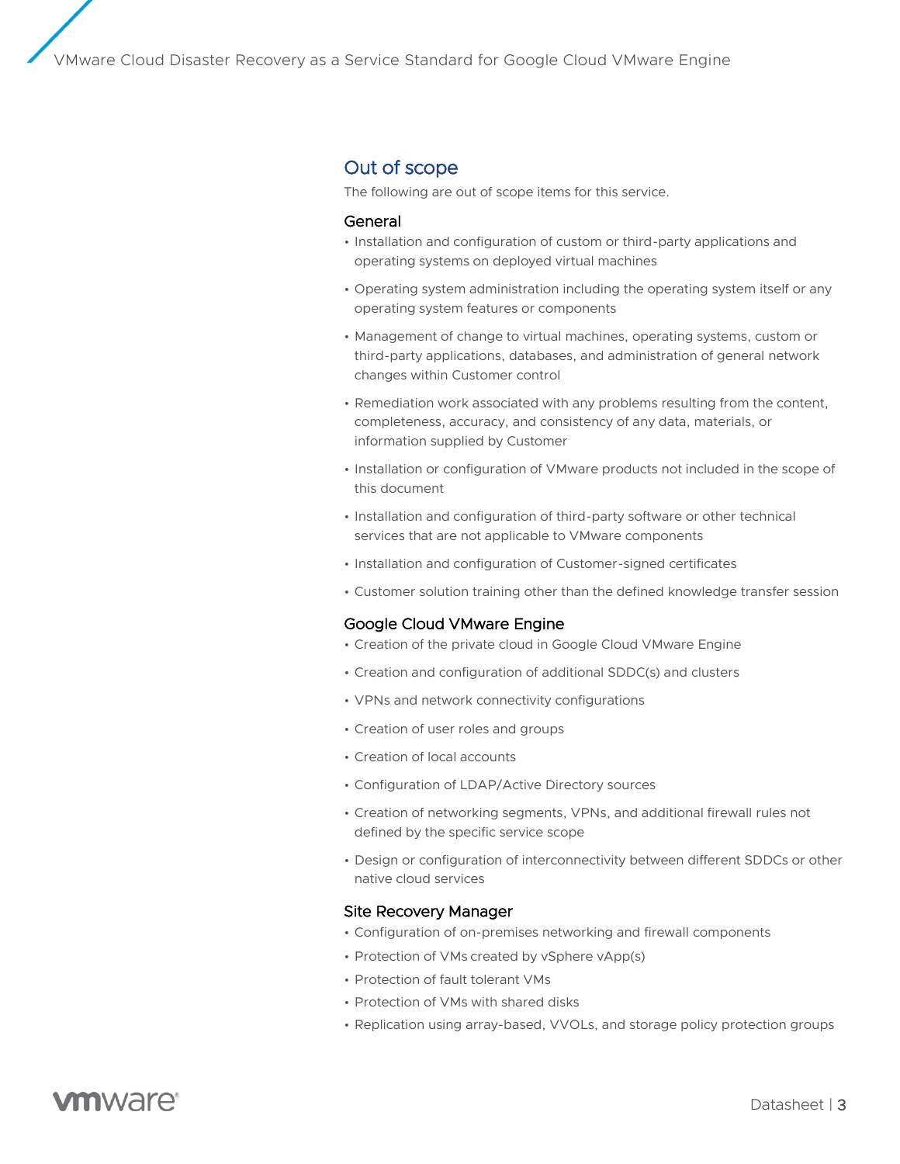### Out of scope

The following are out of scope items for this service.

#### General

- Installation and configuration of custom or third-party applications and operating systems on deployed virtual machines
- Operating system administration including the operating system itself or any operating system features or components
- Management of change to virtual machines, operating systems, custom or third-party applications, databases, and administration of general network changes within Customer control
- Remediation work associated with any problems resulting from the content, completeness, accuracy, and consistency of any data, materials, or information supplied by Customer
- Installation or configuration of VMware products not included in the scope of this document
- Installation and configuration of third-party software or other technical services that are not applicable to VMware components
- Installation and configuration of Customer-signed certificates
- Customer solution training other than the defined knowledge transfer session

#### Google Cloud VMware Engine

- Creation of the private cloud in Google Cloud VMware Engine
- Creation and configuration of additional SDDC(s) and clusters
- VPNs and network connectivity configurations
- Creation of user roles and groups
- Creation of local accounts
- Configuration of LDAP/Active Directory sources
- Creation of networking segments, VPNs, and additional firewall rules not defined by the specific service scope
- Design or configuration of interconnectivity between different SDDCs or other native cloud services

#### Site Recovery Manager

- Configuration of on-premises networking and firewall components
- Protection of VMs created by vSphere vApp(s)
- Protection of fault tolerant VMs
- Protection of VMs with shared disks
- Replication using array-based, VVOLs, and storage policy protection groups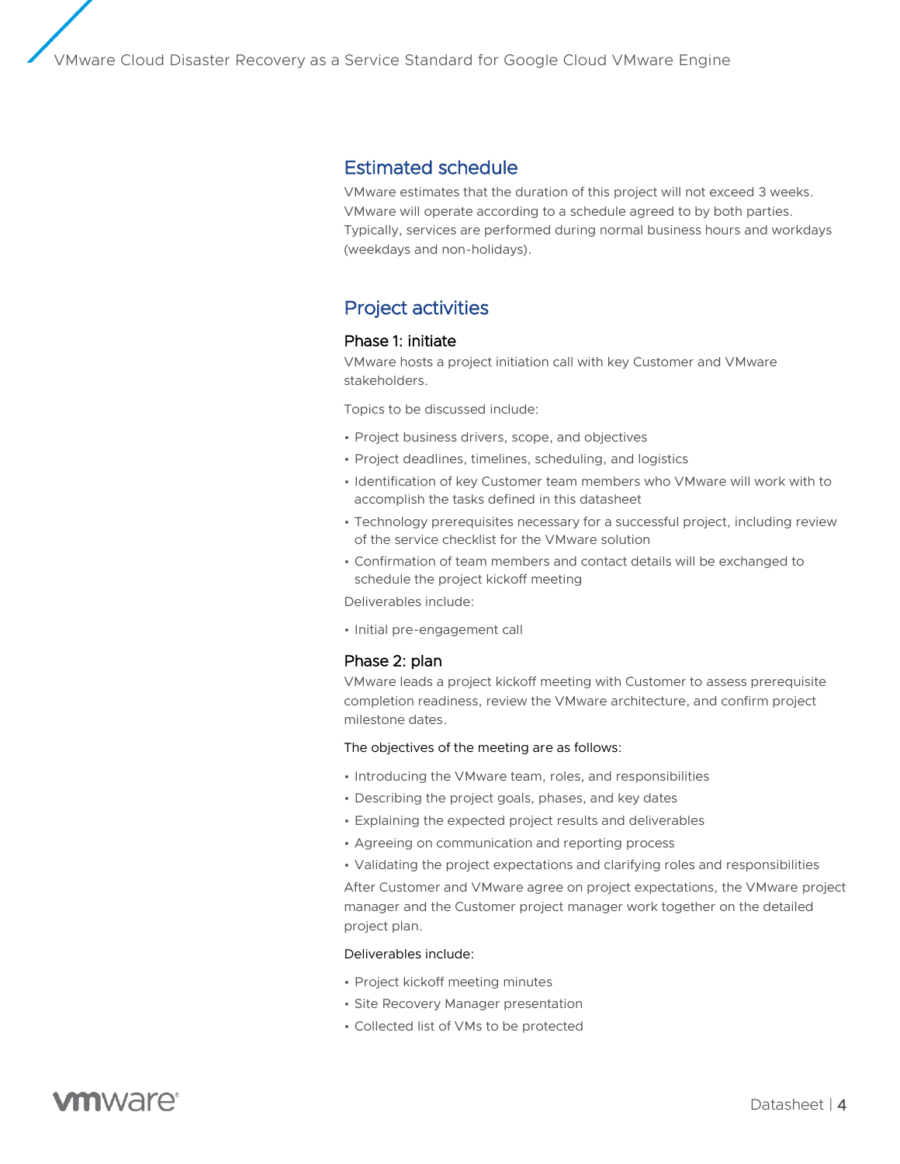## Estimated schedule

VMware estimates that the duration of this project will not exceed 3 weeks. VMware will operate according to a schedule agreed to by both parties. Typically, services are performed during normal business hours and workdays (weekdays and non-holidays).

## Project activities

#### Phase 1: initiate

VMware hosts a project initiation call with key Customer and VMware stakeholders.

Topics to be discussed include:

- Project business drivers, scope, and objectives
- Project deadlines, timelines, scheduling, and logistics
- Identification of key Customer team members who VMware will work with to accomplish the tasks defined in this datasheet
- Technology prerequisites necessary for a successful project, including review of the service checklist for the VMware solution
- Confirmation of team members and contact details will be exchanged to schedule the project kickoff meeting

Deliverables include:

• Initial pre-engagement call

#### Phase 2: plan

VMware leads a project kickoff meeting with Customer to assess prerequisite completion readiness, review the VMware architecture, and confirm project milestone dates.

#### The objectives of the meeting are as follows:

- Introducing the VMware team, roles, and responsibilities
- Describing the project goals, phases, and key dates
- Explaining the expected project results and deliverables
- Agreeing on communication and reporting process
- Validating the project expectations and clarifying roles and responsibilities

After Customer and VMware agree on project expectations, the VMware project manager and the Customer project manager work together on the detailed project plan.

#### Deliverables include:

- Project kickoff meeting minutes
- Site Recovery Manager presentation
- Collected list of VMs to be protected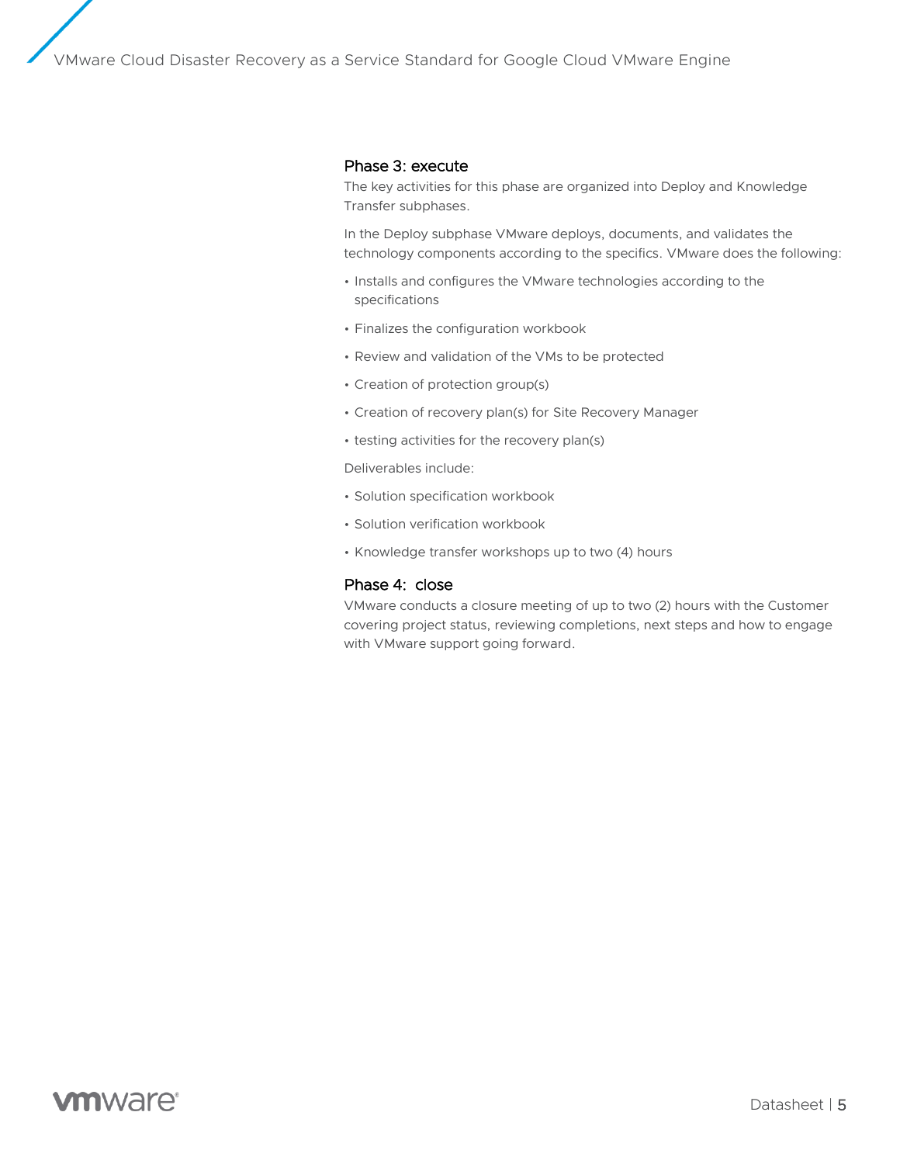#### Phase 3: execute

The key activities for this phase are organized into Deploy and Knowledge Transfer subphases.

In the Deploy subphase VMware deploys, documents, and validates the technology components according to the specifics. VMware does the following:

- Installs and configures the VMware technologies according to the specifications
- Finalizes the configuration workbook
- Review and validation of the VMs to be protected
- Creation of protection group(s)
- Creation of recovery plan(s) for Site Recovery Manager
- testing activities for the recovery plan(s)

Deliverables include:

- Solution specification workbook
- Solution verification workbook
- Knowledge transfer workshops up to two (4) hours

#### Phase 4: close

VMware conducts a closure meeting of up to two (2) hours with the Customer covering project status, reviewing completions, next steps and how to engage with VMware support going forward.